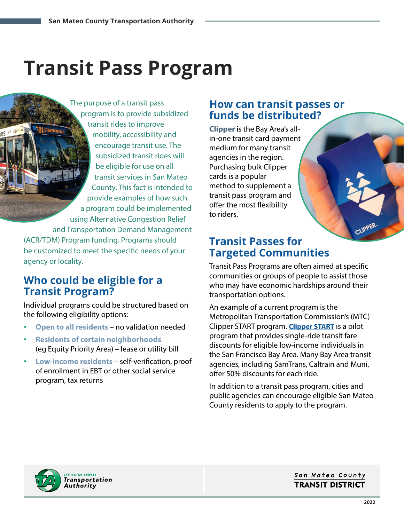# **Transit Pass Program**

The purpose of a transit pass program is to provide subsidized transit rides to improve mobility, accessibility and encourage transit use. The subsidized transit rides will be eligible for use on all transit services in San Mateo County. This fact is intended to provide examples of how such a program could be implemented using Alternative Congestion Relief and Transportation Demand Management (ACR/TDM) Program funding. Programs should be customized to meet the specific needs of your

## **Who could be eligible for a Transit Program?**

agency or locality.

Individual programs could be structured based on the following eligibility options:

- **Open to all residents** no validation needed
- **Residents of certain neighborhoods** (eg Equity Priority Area) – lease or utility bill
- **Low-income residents** self-verification, proof of enrollment in EBT or other social service program, tax returns

### **How can transit passes or funds be distributed?**

**Clipper** is the Bay Area's allin-one transit card payment medium for many transit agencies in the region. Purchasing bulk Clipper cards is a popular method to supplement a transit pass program and offer the most flexibility to riders.

## **Transit Passes for Targeted Communities**

Transit Pass Programs are often aimed at specific communities or groups of people to assist those who may have economic hardships around their transportation options.

An example of a current program is the Metropolitan Transportation Commission's (MTC) Clipper START program. **[Clipper START](https://www.clipperstartcard.com/s/)** is a pilot program that provides single-ride transit fare discounts for eligible low-income individuals in the San Francisco Bay Area. Many Bay Area transit agencies, including SamTrans, Caltrain and Muni, offer 50% discounts for each ride.

In addition to a transit pass program, cities and public agencies can encourage eligible San Mateo County residents to apply to the program.



#### San Mateo County **TRANSIT DISTRICT**